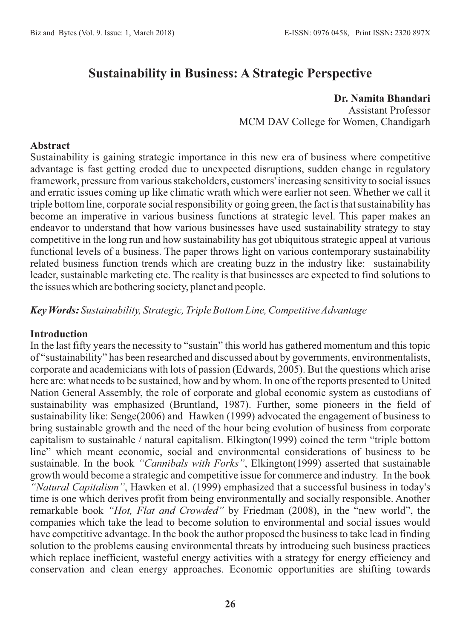# **Sustainability in Business: A Strategic Perspective**

#### **Dr. Namita Bhandari**

Assistant Professor MCM DAV College for Women, Chandigarh

#### **Abstract**

Sustainability is gaining strategic importance in this new era of business where competitive advantage is fast getting eroded due to unexpected disruptions, sudden change in regulatory framework, pressure from various stakeholders, customers' increasing sensitivity to social issues and erratic issues coming up like climatic wrath which were earlier not seen. Whether we call it triple bottom line, corporate social responsibility or going green, the fact is that sustainability has become an imperative in various business functions at strategic level. This paper makes an endeavor to understand that how various businesses have used sustainability strategy to stay competitive in the long run and how sustainability has got ubiquitous strategic appeal at various functional levels of a business. The paper throws light on various contemporary sustainability related business function trends which are creating buzz in the industry like: sustainability leader, sustainable marketing etc. The reality is that businesses are expected to find solutions to the issues which are bothering society, planet and people.

*Key Words: Sustainability, Strategic, Triple Bottom Line, Competitive Advantage*

#### **Introduction**

In the last fifty years the necessity to "sustain" this world has gathered momentum and this topic of "sustainability" has been researched and discussed about by governments, environmentalists, corporate and academicians with lots of passion (Edwards, 2005). But the questions which arise here are: what needs to be sustained, how and by whom. In one of the reports presented to United Nation General Assembly, the role of corporate and global economic system as custodians of sustainability was emphasized (Bruntland, 1987). Further, some pioneers in the field of sustainability like: Senge(2006) and Hawken (1999) advocated the engagement of business to bring sustainable growth and the need of the hour being evolution of business from corporate capitalism to sustainable / natural capitalism. Elkington(1999) coined the term "triple bottom line" which meant economic, social and environmental considerations of business to be sustainable. In the book *"Cannibals with Forks"*, Elkington(1999) asserted that sustainable growth would become a strategic and competitive issue for commerce and industry. In the book *"Natural Capitalism"*, Hawken et al. (1999) emphasized that a successful business in today's time is one which derives profit from being environmentally and socially responsible. Another remarkable book *"Hot, Flat and Crowded"* by Friedman (2008), in the "new world", the companies which take the lead to become solution to environmental and social issues would have competitive advantage. In the book the author proposed the business to take lead in finding solution to the problems causing environmental threats by introducing such business practices which replace inefficient, wasteful energy activities with a strategy for energy efficiency and conservation and clean energy approaches. Economic opportunities are shifting towards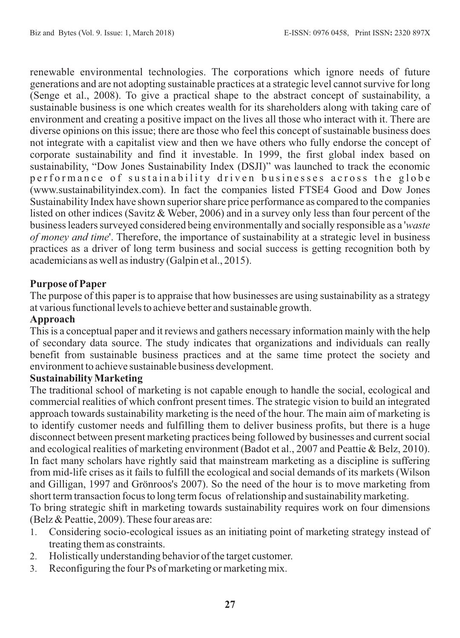renewable environmental technologies. The corporations which ignore needs of future generations and are not adopting sustainable practices at a strategic level cannot survive for long (Senge et al., 2008). To give a practical shape to the abstract concept of sustainability, a sustainable business is one which creates wealth for its shareholders along with taking care of environment and creating a positive impact on the lives all those who interact with it. There are diverse opinions on this issue; there are those who feel this concept of sustainable business does not integrate with a capitalist view and then we have others who fully endorse the concept of corporate sustainability and find it investable. In 1999, the first global index based on sustainability, "Dow Jones Sustainability Index (DSJI)" was launched to track the economic performance of sustainability driven businesses across the globe (www.sustainabilityindex.com). In fact the companies listed FTSE4 Good and Dow Jones Sustainability Index have shown superior share price performance as compared to the companies listed on other indices (Savitz & Weber, 2006) and in a survey only less than four percent of the business leaders surveyed considered being environmentally and socially responsible as a '*waste of money and time*'. Therefore, the importance of sustainability at a strategic level in business practices as a driver of long term business and social success is getting recognition both by academicians as well as industry (Galpin et al., 2015).

## **Purpose of Paper**

The purpose of this paper is to appraise that how businesses are using sustainability as a strategy at various functional levels to achieve better and sustainable growth.

## **Approach**

This is a conceptual paper and it reviews and gathers necessary information mainly with the help of secondary data source. The study indicates that organizations and individuals can really benefit from sustainable business practices and at the same time protect the society and environment to achieve sustainable business development.

#### **Sustainability Marketing**

The traditional school of marketing is not capable enough to handle the social, ecological and commercial realities of which confront present times. The strategic vision to build an integrated approach towards sustainability marketing is the need of the hour. The main aim of marketing is to identify customer needs and fulfilling them to deliver business profits, but there is a huge disconnect between present marketing practices being followed by businesses and current social and ecological realities of marketing environment (Badot et al., 2007 and Peattie & Belz, 2010). In fact many scholars have rightly said that mainstream marketing as a discipline is suffering from mid-life crises as it fails to fulfill the ecological and social demands of its markets (Wilson and Gilligan, 1997 and Grönroos's 2007). So the need of the hour is to move marketing from short term transaction focus to long term focus of relationship and sustainability marketing. To bring strategic shift in marketing towards sustainability requires work on four dimensions

(Belz & Peattie, 2009). These four areas are:

- 1. Considering socio-ecological issues as an initiating point of marketing strategy instead of treating them as constraints.
- 2. Holistically understanding behavior of the target customer.
- 3. Reconfiguring the four Ps of marketing or marketing mix.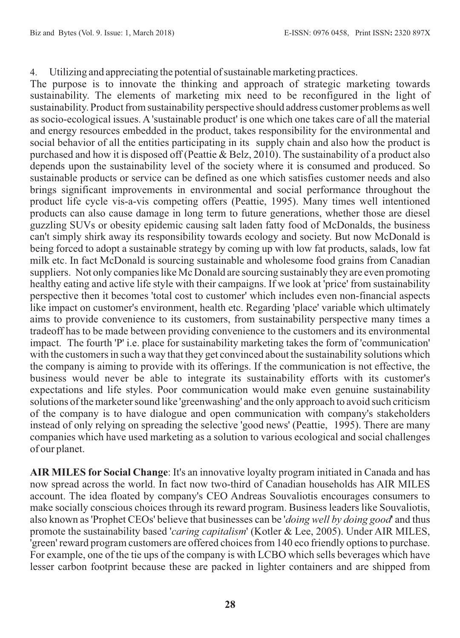4. Utilizing and appreciating the potential of sustainable marketing practices.

The purpose is to innovate the thinking and approach of strategic marketing towards sustainability. The elements of marketing mix need to be reconfigured in the light of sustainability. Product from sustainability perspective should address customer problems as well as socio-ecological issues. A 'sustainable product' is one which one takes care of all the material and energy resources embedded in the product, takes responsibility for the environmental and social behavior of all the entities participating in its supply chain and also how the product is purchased and how it is disposed off (Peattie & Belz, 2010). The sustainability of a product also depends upon the sustainability level of the society where it is consumed and produced. So sustainable products or service can be defined as one which satisfies customer needs and also brings significant improvements in environmental and social performance throughout the product life cycle vis-a-vis competing offers (Peattie, 1995). Many times well intentioned products can also cause damage in long term to future generations, whether those are diesel guzzling SUVs or obesity epidemic causing salt laden fatty food of McDonalds, the business can't simply shirk away its responsibility towards ecology and society. But now McDonald is being forced to adopt a sustainable strategy by coming up with low fat products, salads, low fat milk etc. In fact McDonald is sourcing sustainable and wholesome food grains from Canadian suppliers. Not only companies like Mc Donald are sourcing sustainably they are even promoting healthy eating and active life style with their campaigns. If we look at 'price' from sustainability perspective then it becomes 'total cost to customer' which includes even non-financial aspects like impact on customer's environment, health etc. Regarding 'place' variable which ultimately aims to provide convenience to its customers, from sustainability perspective many times a tradeoff has to be made between providing convenience to the customers and its environmental impact. The fourth 'P' i.e. place for sustainability marketing takes the form of 'communication' with the customers in such a way that they get convinced about the sustainability solutions which the company is aiming to provide with its offerings. If the communication is not effective, the business would never be able to integrate its sustainability efforts with its customer's expectations and life styles. Poor communication would make even genuine sustainability solutions of the marketer sound like 'greenwashing' and the only approach to avoid such criticism of the company is to have dialogue and open communication with company's stakeholders instead of only relying on spreading the selective 'good news' (Peattie, 1995). There are many companies which have used marketing as a solution to various ecological and social challenges of our planet.

**AIR MILES for Social Change**: It's an innovative loyalty program initiated in Canada and has now spread across the world. In fact now two-third of Canadian households has AIR MILES account. The idea floated by company's CEO Andreas Souvaliotis encourages consumers to make socially conscious choices through its reward program. Business leaders like Souvaliotis, also known as 'Prophet CEOs' believe that businesses can be '*doing well by doing good*' and thus promote the sustainability based '*caring capitalism*' (Kotler & Lee, 2005). Under AIR MILES, 'green' reward program customers are offered choices from 140 eco friendly options to purchase. For example, one of the tie ups of the company is with LCBO which sells beverages which have lesser carbon footprint because these are packed in lighter containers and are shipped from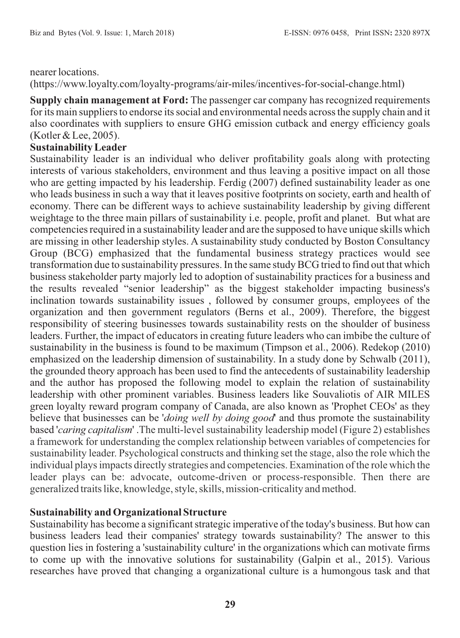#### nearer locations.

(https://www.loyalty.com/loyalty-programs/air-miles/incentives-for-social-change.html)

**Supply chain management at Ford:** The passenger car company has recognized requirements for its main suppliers to endorse its social and environmental needs across the supply chain and it also coordinates with suppliers to ensure GHG emission cutback and energy efficiency goals (Kotler & Lee, 2005).

#### **Sustainability Leader**

Sustainability leader is an individual who deliver profitability goals along with protecting interests of various stakeholders, environment and thus leaving a positive impact on all those who are getting impacted by his leadership. Ferdig (2007) defined sustainability leader as one who leads business in such a way that it leaves positive footprints on society, earth and health of economy. There can be different ways to achieve sustainability leadership by giving different weightage to the three main pillars of sustainability i.e. people, profit and planet. But what are competencies required in a sustainability leader and are the supposed to have unique skills which are missing in other leadership styles. A sustainability study conducted by Boston Consultancy Group (BCG) emphasized that the fundamental business strategy practices would see transformation due to sustainability pressures. In the same study BCG tried to find out that which business stakeholder party majorly led to adoption of sustainability practices for a business and the results revealed "senior leadership" as the biggest stakeholder impacting business's inclination towards sustainability issues , followed by consumer groups, employees of the organization and then government regulators (Berns et al., 2009). Therefore, the biggest responsibility of steering businesses towards sustainability rests on the shoulder of business leaders. Further, the impact of educators in creating future leaders who can imbibe the culture of sustainability in the business is found to be maximum (Timpson et al., 2006). Redekop (2010) emphasized on the leadership dimension of sustainability. In a study done by Schwalb (2011), the grounded theory approach has been used to find the antecedents of sustainability leadership and the author has proposed the following model to explain the relation of sustainability leadership with other prominent variables. Business leaders like Souvaliotis of AIR MILES green loyalty reward program company of Canada, are also known as 'Prophet CEOs' as they believe that businesses can be '*doing well by doing good*' and thus promote the sustainability based '*caring capitalism*' .The multi-level sustainability leadership model (Figure 2) establishes a framework for understanding the complex relationship between variables of competencies for sustainability leader. Psychological constructs and thinking set the stage, also the role which the individual plays impacts directly strategies and competencies. Examination of the role which the leader plays can be: advocate, outcome-driven or process-responsible. Then there are generalized traits like, knowledge, style, skills, mission-criticality and method.

## **Sustainability and Organizational Structure**

Sustainability has become a significant strategic imperative of the today's business. But how can business leaders lead their companies' strategy towards sustainability? The answer to this question lies in fostering a 'sustainability culture' in the organizations which can motivate firms to come up with the innovative solutions for sustainability (Galpin et al., 2015). Various researches have proved that changing a organizational culture is a humongous task and that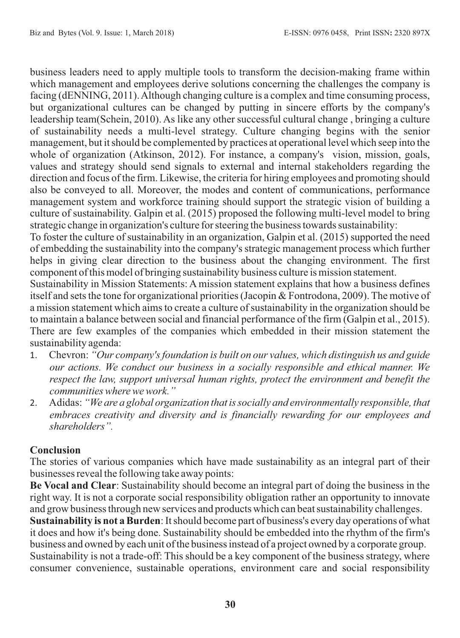business leaders need to apply multiple tools to transform the decision-making frame within which management and employees derive solutions concerning the challenges the company is facing (dENNING, 2011). Although changing culture is a complex and time consuming process, but organizational cultures can be changed by putting in sincere efforts by the company's leadership team(Schein, 2010). As like any other successful cultural change , bringing a culture of sustainability needs a multi-level strategy. Culture changing begins with the senior management, but it should be complemented by practices at operational level which seep into the whole of organization (Atkinson, 2012). For instance, a company's vision, mission, goals, values and strategy should send signals to external and internal stakeholders regarding the direction and focus of the firm. Likewise, the criteria for hiring employees and promoting should also be conveyed to all. Moreover, the modes and content of communications, performance management system and workforce training should support the strategic vision of building a culture of sustainability. Galpin et al. (2015) proposed the following multi-level model to bring strategic change in organization's culture for steering the business towards sustainability:

To foster the culture of sustainability in an organization, Galpin et al. (2015) supported the need of embedding the sustainability into the company's strategic management process which further helps in giving clear direction to the business about the changing environment. The first component of this model of bringing sustainability business culture is mission statement.

Sustainability in Mission Statements: A mission statement explains that how a business defines itself and sets the tone for organizational priorities (Jacopin & Fontrodona, 2009). The motive of a mission statement which aims to create a culture of sustainability in the organization should be to maintain a balance between social and financial performance of the firm (Galpin et al., 2015). There are few examples of the companies which embedded in their mission statement the sustainability agenda:

- 1. Chevron: *"Our company's foundation is built on our values, which distinguish us and guide our actions. We conduct our business in a socially responsible and ethical manner. We respect the law, support universal human rights, protect the environment and benefit the communities where we work."*
- 2. Adidas: *"We are a global organization that is socially and environmentally responsible, that embraces creativity and diversity and is financially rewarding for our employees and shareholders".*

# **Conclusion**

The stories of various companies which have made sustainability as an integral part of their businesses reveal the following take away points:

**Be Vocal and Clear**: Sustainability should become an integral part of doing the business in the right way. It is not a corporate social responsibility obligation rather an opportunity to innovate and grow business through new services and products which can beat sustainability challenges.

**Sustainability is not a Burden**: It should become part of business's every day operations of what it does and how it's being done. Sustainability should be embedded into the rhythm of the firm's business and owned by each unit of the business instead of a project owned by a corporate group. Sustainability is not a trade-off: This should be a key component of the business strategy, where consumer convenience, sustainable operations, environment care and social responsibility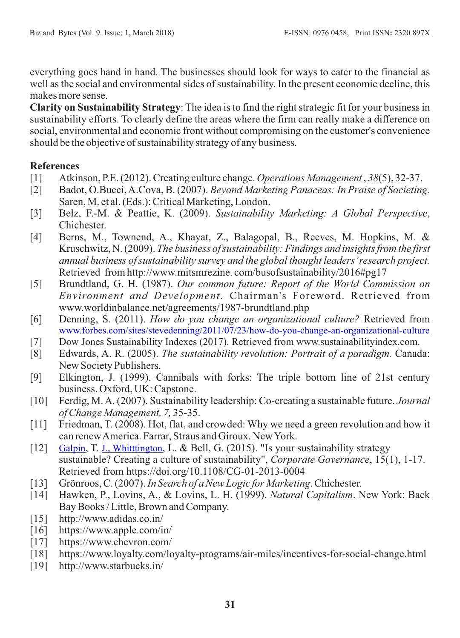everything goes hand in hand. The businesses should look for ways to cater to the financial as well as the social and environmental sides of sustainability. In the present economic decline, this makes more sense.

**Clarity on Sustainability Strategy**: The idea is to find the right strategic fit for your business in sustainability efforts. To clearly define the areas where the firm can really make a difference on social, environmental and economic front without compromising on the customer's convenience should be the objective of sustainability strategy of any business.

# **References**

- [1] Atkinson, P.E. (2012). Creating culture change. *Operations Management* , *38*(5), 32-37.
- [2] Badot, O.Bucci, A.Cova, B. (2007). *Beyond Marketing Panaceas: In Praise of Societing.* Saren, M. et al. (Eds.): Critical Marketing, London.
- [3] Belz, F.-M. & Peattie, K. (2009). *Sustainability Marketing: A Global Perspective*, Chichester.
- [4] Berns, M., Townend, A., Khayat, Z., Balagopal, B., Reeves, M. Hopkins, M. & Kruschwitz, N. (2009). *The business of sustainability: Findings and insights from the first annual business of sustainability survey and the global thought leaders'research project.*  Retrieved from http://www.mitsmrezine. com/busofsustainability/2016#pg17
- [5] Brundtland, G. H. (1987). *Our common future: Report of the World Commission on Environment and Development.* Chairman's Foreword. Retrieved from www.worldinbalance.net/agreements/1987-brundtland.php
- [6] Denning, S. (2011). *How do you change an organizational culture?* Retrieved from [www.forbes.com/sites/stevedenning/2011/07/23/how-do-you-change-an-organizational-culture](http://www.forbes.com/sites/stevedenning/2011/07/23/how-do-you-change-an-organizational-culture)
- [7] Dow Jones Sustainability Indexes (2017). Retrieved from www.sustainabilityindex.com.<br>[8] Edwards, A. R. (2005). *The sustainability revolution: Portrait of a paradigm*. Canad
- [8] Edwards, A. R. (2005). *The sustainability revolution: Portrait of a paradigm.* Canada: New Society Publishers.
- [9] Elkington, J. (1999). Cannibals with forks: The triple bottom line of 21st century business. Oxford, UK: Capstone.
- [10] Ferdig, M. A. (2007). Sustainability leadership: Co-creating a sustainable future. *Journal of Change Management, 7,* 35-35.
- [11] Friedman, T. (2008). Hot, flat, and crowded: Why we need a green revolution and how it can renew America. Farrar, Straus and Giroux. New York.
- [12] [Galpin](http://www.emeraldinsight.com/author/Galpin%2C+Timothy), T. [J., Whitttington](http://www.emeraldinsight.com/author/Whitttington%2C+J+Lee), L. & Bell, G. (2015). "Is your sustainability strategy sustainable? Creating a culture of sustainability", *Corporate Governance*, 15(1), 1-17. Retrieved from https://doi.org/10.1108/CG-01-2013-0004
- [13] Grönroos, C. (2007). *In Search of a New Logic for Marketing*. Chichester.
- [14] Hawken, P., Lovins, A., & Lovins, L. H. (1999). *Natural Capitalism*. New York: Back Bay Books / Little, Brown and Company.
- [15] http://www.adidas.co.in/
- [16] https://www.apple.com/in/
- [17] https://www.chevron.com/
- [18] https://www.loyalty.com/loyalty-programs/air-miles/incentives-for-social-change.html
- [19] http://www.starbucks.in/